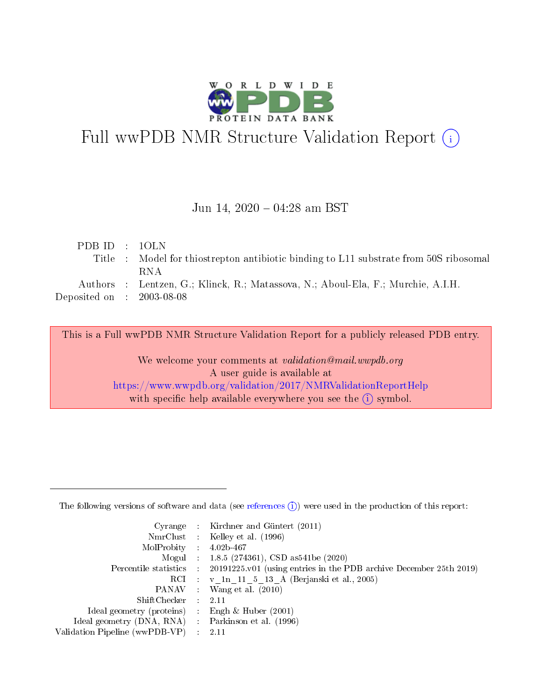

# Full wwPDB NMR Structure Validation Report (i)

#### Jun 14,  $2020 - 04:28$  am BST

| PDBID : 10LN                         |                                                                                       |
|--------------------------------------|---------------------------------------------------------------------------------------|
|                                      | Title : Model for this trep to antibiotic binding to L11 substrate from 50S ribosomal |
|                                      | RNA.                                                                                  |
|                                      | Authors : Lentzen, G.; Klinck, R.; Matassova, N.; Aboul-Ela, F.; Murchie, A.I.H.      |
| Deposited on $\therefore$ 2003-08-08 |                                                                                       |
|                                      |                                                                                       |

This is a Full wwPDB NMR Structure Validation Report for a publicly released PDB entry.

We welcome your comments at validation@mail.wwpdb.org A user guide is available at <https://www.wwpdb.org/validation/2017/NMRValidationReportHelp> with specific help available everywhere you see the  $(i)$  symbol.

The following versions of software and data (see [references](https://www.wwpdb.org/validation/2017/NMRValidationReportHelp#references)  $(1)$ ) were used in the production of this report:

|                                                   |             | Cyrange : Kirchner and Güntert $(2011)$                            |
|---------------------------------------------------|-------------|--------------------------------------------------------------------|
|                                                   |             | NmrClust : Kelley et al. (1996)                                    |
| MolProbity :                                      |             | 4.02b-467                                                          |
|                                                   |             | Mogul : $1.8.5$ (274361), CSD as 541be (2020)                      |
| Percentile statistics :                           |             | 20191225.v01 (using entries in the PDB archive December 25th 2019) |
|                                                   |             | RCI : v 1n 11 5 13 A (Berjanski et al., 2005)                      |
| PANAV :                                           |             | Wang et al. $(2010)$                                               |
| $ShiftChecker$ :                                  |             | 2.11                                                               |
| Ideal geometry (proteins) :                       |             | Engh & Huber $(2001)$                                              |
| Ideal geometry (DNA, RNA) Parkinson et al. (1996) |             |                                                                    |
| Validation Pipeline (wwPDB-VP)                    | $\sim 10^6$ | -2.11                                                              |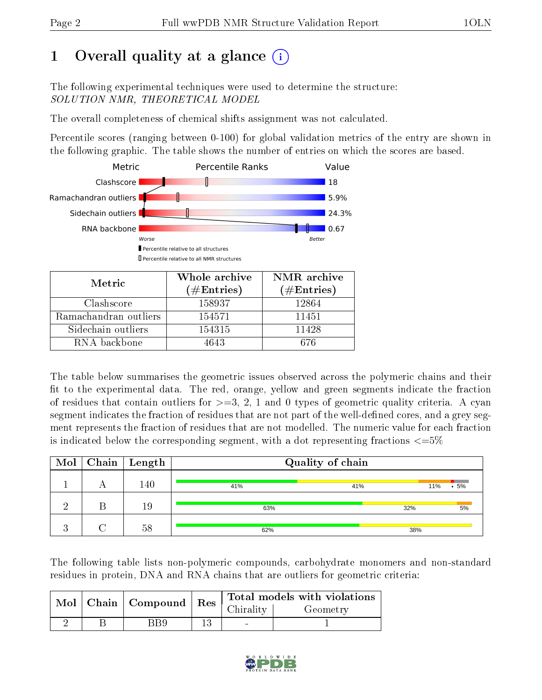## 1 [O](https://www.wwpdb.org/validation/2017/NMRValidationReportHelp#overall_quality)verall quality at a glance  $(i)$

The following experimental techniques were used to determine the structure: SOLUTION NMR, THEORETICAL MODEL

The overall completeness of chemical shifts assignment was not calculated.

Percentile scores (ranging between 0-100) for global validation metrics of the entry are shown in the following graphic. The table shows the number of entries on which the scores are based.



| Metric                | Whole archive<br>$(\#Entries)$ | NMR archive<br>$(\#Entries)$ |
|-----------------------|--------------------------------|------------------------------|
| Clashscore            | 158937                         | 12864                        |
| Ramachandran outliers | 154571                         | 11451                        |
| Sidechain outliers    | 154315                         | 11428                        |
| RNA backbone          | 4643                           | 676                          |

The table below summarises the geometric issues observed across the polymeric chains and their fit to the experimental data. The red, orange, yellow and green segments indicate the fraction of residues that contain outliers for  $\geq$ =3, 2, 1 and 0 types of geometric quality criteria. A cyan segment indicates the fraction of residues that are not part of the well-defined cores, and a grey segment represents the fraction of residues that are not modelled. The numeric value for each fraction is indicated below the corresponding segment, with a dot representing fractions  $\leq=5\%$ 

| Mol            | $\sqrt{\text{Chain}} \mid \text{Length}$ | Quality of chain |     |               |  |
|----------------|------------------------------------------|------------------|-----|---------------|--|
|                | 140                                      | 41%              | 41% | 11%<br>$.5\%$ |  |
| റ              | 19                                       | 63%              | 32% | 5%            |  |
| $\Omega$<br>ĸ. | 58                                       | 62%              | 38% |               |  |

The following table lists non-polymeric compounds, carbohydrate monomers and non-standard residues in protein, DNA and RNA chains that are outliers for geometric criteria:

|  | Mol   Chain   Compound   Res |  | Total models with violations |          |  |
|--|------------------------------|--|------------------------------|----------|--|
|  |                              |  | Chirality                    | Geometry |  |
|  | RR9                          |  |                              |          |  |

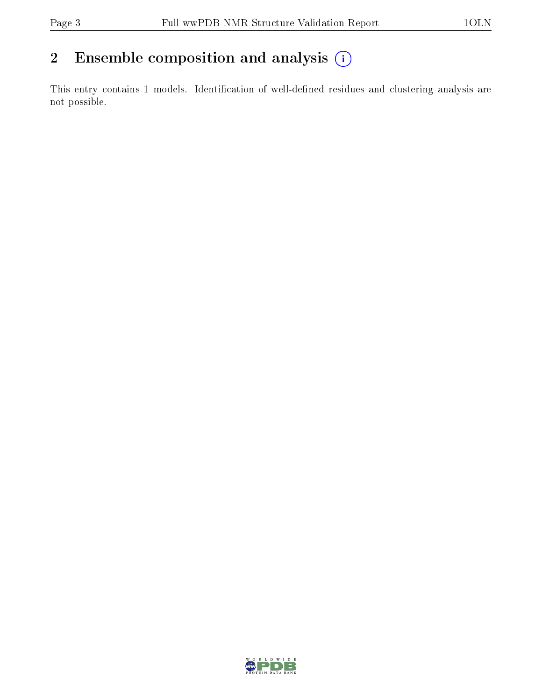## 2 Ensemble composition and analysis  $(i)$

This entry contains 1 models. Identification of well-defined residues and clustering analysis are not possible.

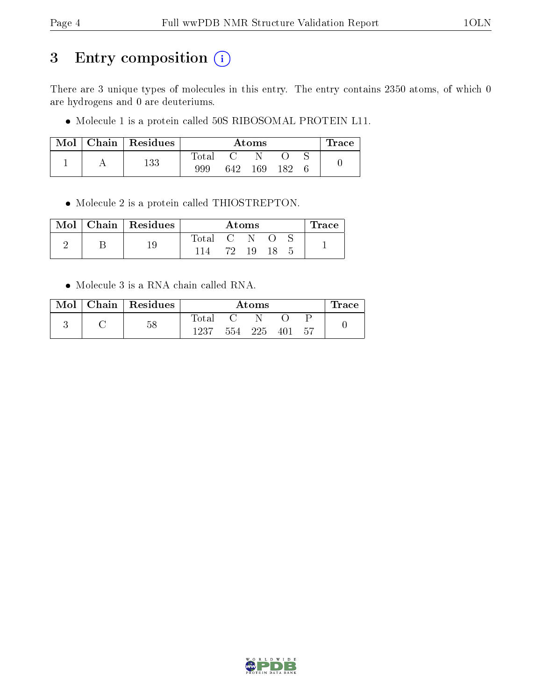## 3 Entry composition (i)

There are 3 unique types of molecules in this entry. The entry contains 2350 atoms, of which 0 are hydrogens and 0 are deuteriums.

 $\bullet$  Molecule 1 is a protein called 50S RIBOSOMAL PROTEIN L11.

| Mol |  | Chain   $Residues$ | Atoms       |     |     |  | $\operatorname{Trace}$ |  |
|-----|--|--------------------|-------------|-----|-----|--|------------------------|--|
|     |  | 133                | $\rm Total$ |     |     |  |                        |  |
|     |  | 999                | 642         | 169 | 182 |  |                        |  |

Molecule 2 is a protein called THIOSTREPTON.

|  | Mol   Chain   Residues | Atoms |            |     |  | $\operatorname{Trace}$ |  |
|--|------------------------|-------|------------|-----|--|------------------------|--|
|  |                        | Total | <b>C</b> 2 |     |  |                        |  |
|  |                        |       | 79.        | 19. |  |                        |  |

Molecule 3 is a RNA chain called RNA.

| Mol | $\perp$ Chain $\parallel$ Residues | Atoms          |     |     |     | $\bf{Trace}$ |  |
|-----|------------------------------------|----------------|-----|-----|-----|--------------|--|
|     |                                    | $_{\rm Total}$ |     |     |     |              |  |
|     | 58                                 | 1237           | 554 | 225 | 401 | .57          |  |

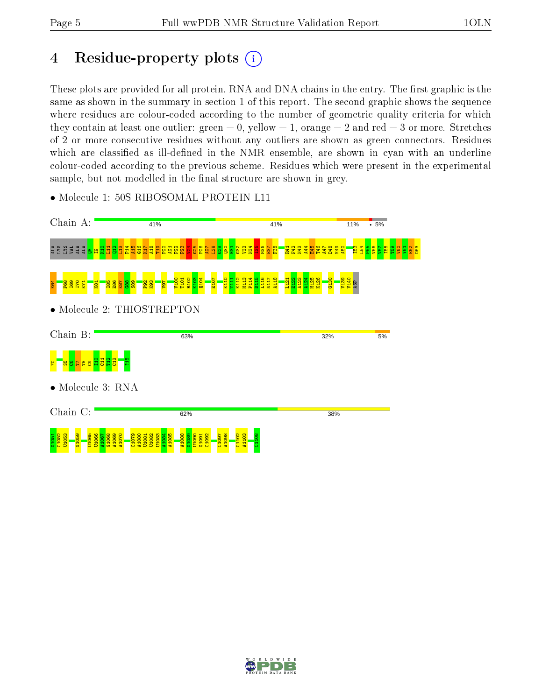## 4 Residue-property plots  $(i)$

These plots are provided for all protein, RNA and DNA chains in the entry. The first graphic is the same as shown in the summary in section 1 of this report. The second graphic shows the sequence where residues are colour-coded according to the number of geometric quality criteria for which they contain at least one outlier: green  $= 0$ , yellow  $= 1$ , orange  $= 2$  and red  $= 3$  or more. Stretches of 2 or more consecutive residues without any outliers are shown as green connectors. Residues which are classified as ill-defined in the NMR ensemble, are shown in cyan with an underline colour-coded according to the previous scheme. Residues which were present in the experimental sample, but not modelled in the final structure are shown in grey.



• Molecule 1: 50S RIBOSOMAL PROTEIN L11

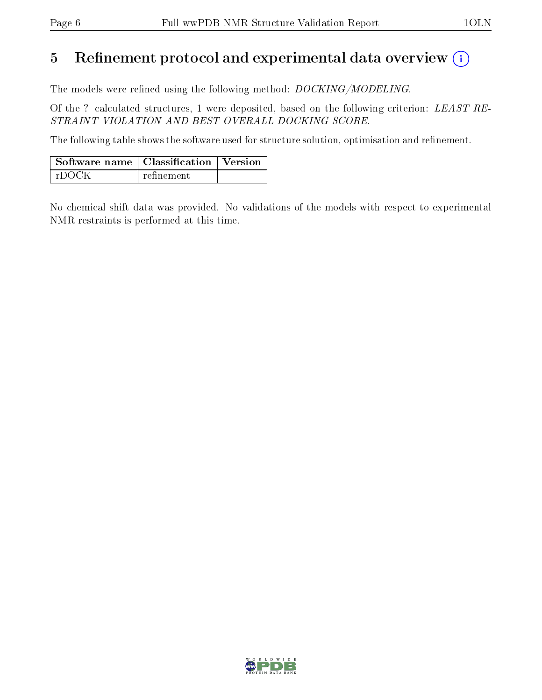## 5 Refinement protocol and experimental data overview  $\binom{1}{k}$

The models were refined using the following method: *DOCKING/MODELING*.

Of the ? calculated structures, 1 were deposited, based on the following criterion: LEAST RE-STRAINT VIOLATION AND BEST OVERALL DOCKING SCORE.

The following table shows the software used for structure solution, optimisation and refinement.

| $\mid$ Software name $\mid$ Classification $\mid$ Version $\mid$ |            |  |
|------------------------------------------------------------------|------------|--|
| ∣ rDOCK                                                          | refinement |  |

No chemical shift data was provided. No validations of the models with respect to experimental NMR restraints is performed at this time.

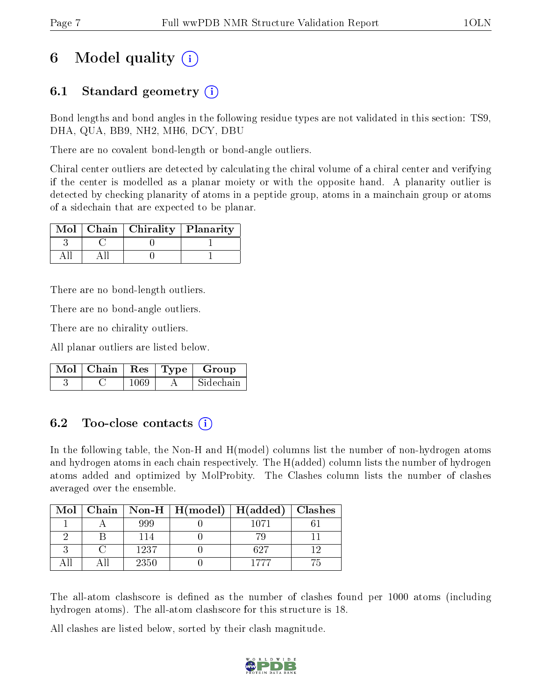## 6 Model quality  $(i)$

### 6.1 Standard geometry (i)

Bond lengths and bond angles in the following residue types are not validated in this section: TS9, DHA, QUA, BB9, NH2, MH6, DCY, DBU

There are no covalent bond-length or bond-angle outliers.

Chiral center outliers are detected by calculating the chiral volume of a chiral center and verifying if the center is modelled as a planar moiety or with the opposite hand. A planarity outlier is detected by checking planarity of atoms in a peptide group, atoms in a mainchain group or atoms of a sidechain that are expected to be planar.

|  | Mol   Chain   Chirality   Planarity |  |
|--|-------------------------------------|--|
|  |                                     |  |
|  |                                     |  |

There are no bond-length outliers.

There are no bond-angle outliers.

There are no chirality outliers.

All planar outliers are listed below.

| $Mol$   Chain |      | . Res $\vert$ Type $\vert$ | Group     |
|---------------|------|----------------------------|-----------|
|               | 1069 |                            | Sidechain |

### 6.2 Too-close contacts (i)

In the following table, the Non-H and H(model) columns list the number of non-hydrogen atoms and hydrogen atoms in each chain respectively. The H(added) column lists the number of hydrogen atoms added and optimized by MolProbity. The Clashes column lists the number of clashes averaged over the ensemble.

| Mol |      | $\mid$ Chain $\mid$ Non-H $\mid$ H(model) $\mid$ H(added) $\mid$ Clashes |      |  |
|-----|------|--------------------------------------------------------------------------|------|--|
|     | 999. |                                                                          | 1071 |  |
|     | 114  |                                                                          |      |  |
|     | 1237 |                                                                          | 627  |  |
|     | 2350 |                                                                          | 1777 |  |

The all-atom clashscore is defined as the number of clashes found per 1000 atoms (including hydrogen atoms). The all-atom clashscore for this structure is 18.

All clashes are listed below, sorted by their clash magnitude.

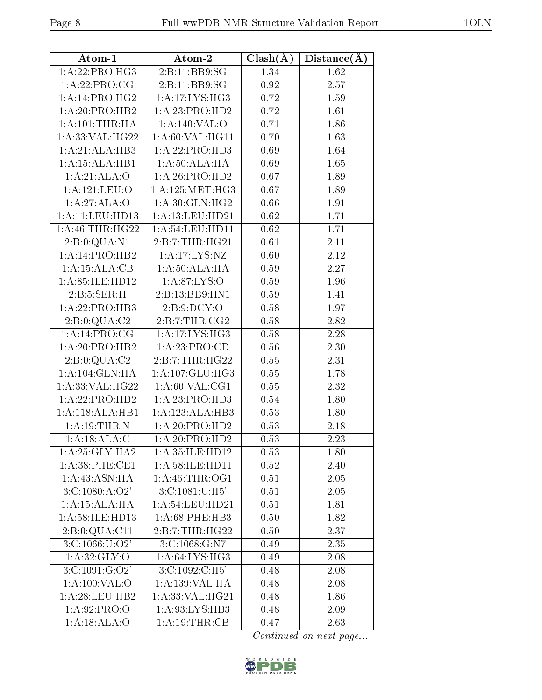| Atom-1                      | Atom-2              | $Clash(\AA)$ | $Distance(\AA)$   |
|-----------------------------|---------------------|--------------|-------------------|
| 1:A:22:PRO:HG3              | 2:B:11:BB9:SG       | 1.34         | 1.62              |
| 1:A:22:PRO:CG               | 2:B:11:BB9:SG       | 0.92         | 2.57              |
| $1:A:14:PRO:H\overline{G2}$ | 1:A:17:LYS:HG3      | 0.72         | 1.59              |
| 1: A:20: PRO:HB2            | 1:A:23:PRO:HD2      | 0.72         | 1.61              |
| 1: A: 101:THR: HA           | 1:A:140:VAL:O       | 0.71         | 1.86              |
| 1: A: 33: VAL: HG22         | 1: A:60: VAL:HGI1   | 0.70         | 1.63              |
| 1:A:21:ALA:HB3              | 1:A:22:PRO:HD3      | 0.69         | 1.64              |
| 1:A:15:ALA:HB1              | 1:A:50:ALA:HA       | 0.69         | 1.65              |
| 1:A:21:ALA:O                | 1: A:26: PRO:HD2    | 0.67         | 1.89              |
| 1: A: 121: LEU: O           | 1: A: 125: MET: HG3 | 0.67         | 1.89              |
| 1:A:27:ALA:O                | 1: A:30: GLN: HG2   | 0.66         | 1.91              |
| 1:A:11:LEU:HD13             | 1: A: 13: LEU: HD21 | 0.62         | 1.71              |
| 1: A:46:THR:HG22            | 1: A:54:LEU:HD11    | 0.62         | 1.71              |
| 2:B:0:QUA:N1                | 2: B: 7: THR: HG21  | 0.61         | 2.11              |
| 1:A:14:PRO:HB2              | 1:A:17:LYS:NZ       | 0.60         | 2.12              |
| 1:A:15:ALA:CB               | 1:A:50:ALA:HA       | 0.59         | 2.27              |
| 1:A:85:ILE:HD12             | 1: A:87: LYS:O      | 0.59         | 1.96              |
| 2: B: 5: SER:H              | 2:B:13:BB9:HN1      | 0.59         | 1.41              |
| 1:A:22:PRO:HB3              | 2: B: 9: DCY: O     | 0.58         | 1.97              |
| 2:B:0:QUA:C2                | 2: B: 7: THR: CG2   | 0.58         | 2.82              |
| 1:A:14:PRO:CG               | 1:A:17:LYS:HG3      | 0.58         | $2.28\,$          |
| 1:A:20:PRO:HB2              | 1:A:23:PRO:CD       | 0.56         | 2.30              |
| 2:B:0:QUA:C2                | 2:B:7:THR:HG22      | 0.55         | 2.31              |
| 1:A:104:GLN:HA              | 1: A:107: GLU:HG3   | 0.55         | 1.78              |
| 1:A:33:VAL:HG22             | 1: A:60: VAL:CG1    | 0.55         | 2.32              |
| 1:A:22:PRO:HB2              | 1:A:23:PRO:HD3      | 0.54         | $\overline{1.80}$ |
| 1:A:118:ALA:HB1             | 1:A:123:ALA:HB3     | 0.53         | 1.80              |
| 1:A:19:THR:N                | 1: A:20: PRO:HD2    | 0.53         | 2.18              |
| 1:A:18:ALA:C                | 1:A:20:PRO:HD2      | 0.53         | 2.23              |
| 1: A:25: GLY:HA2            | 1:A:35:ILE:HD12     | 0.53         | 1.80              |
| 1: A:38: PHE:CE1            | 1: A:58: ILE: HD11  | 0.52         | 2.40              |
| 1: A: 43: ASN: HA           | 1: A:46:THR:OG1     | 0.51         | 2.05              |
| 3:C:1080:A:O2'              | 3:C:1081:U:H5'      | 0.51         | 2.05              |
| 1:A:15:ALA:HA               | 1: A:54:LEU:HD21    | 0.51         | 1.81              |
| 1:A:58:ILE:HD13             | $1: A:68:$ PHE:HB3  | 0.50         | 1.82              |
| 2:B:0:QUA:C11               | 2:B:7:THR:HG22      | 0.50         | 2.37              |
| 3: C: 1066: U: O2'          | 3: C: 1068: G: N7   | 0.49         | 2.35              |
| 1: A:32: GLY:O              | 1: A:64:LYS:HG3     | 0.49         | 2.08              |
| 3:C:1091:G:O2'              | 3:C:1092:C:H5'      | 0.48         | 2.08              |
| 1: A: 100: VAL: O           | 1: A: 139: VAL: HA  | 0.48         | 2.08              |
| 1: A:28:LEU:HB2             | 1: A:33: VAL:HG21   | 0.48         | 1.86              |
| 1: A:92: PRO:O              | 1: A:93: LYS: HB3   | 0.48         | 2.09              |
| 1:A:18:ALA:O                | 1:A:19:THR:CB       | 0.47         | 2.63              |

Continued on next page...

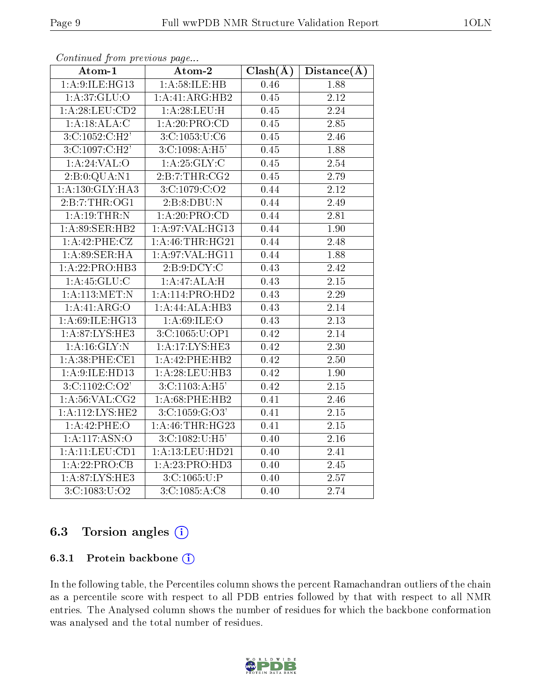| Atom-2<br>Atom-1              |                               | $Clash(\AA)$      | Distance(A)       |
|-------------------------------|-------------------------------|-------------------|-------------------|
| 1:A:9:ILE:HG13                | 1: A:58: ILE: HB              | 0.46              | 1.88              |
| 1: A:37: GLU:O                | 1:A:41:ARG:HB2                | $\overline{0.45}$ | $\overline{2.12}$ |
| 1: A:28:LEU:CD2               | 1:A:28:LEU:H                  | 0.45              | $\overline{2.24}$ |
| 1:A:18:ALA:C                  | $1:A:20:PR\overline{O:CD}$    | 0.45              | $\overline{2.85}$ |
| 3:C:1052:C:H2'                | 3: C: 1053: U: C6             | 0.45              | 2.46              |
| 3: C:1097:C:H2'               | 3: C: 1098: A: H5'            | 0.45              | 1.88              |
| 1:A:24:VAL:O                  | 1:A:25:GLY:C                  | 0.45              | 2.54              |
| 2:B:0:QUA:N1                  | 2:B:7:THR:CG2                 | 0.45              | $\overline{2.79}$ |
| 1:A:130:GLY:HA3               | 3:C:1079:C:O2                 | 0.44              | 2.12              |
| 2:B:7:THR:OG1                 | 2:B:8:DBU:N                   | 0.44              | $\overline{2.49}$ |
| 1:A:19:THR:N                  | 1:A:20:PRO:CD                 | 0.44              | 2.81              |
| 1:A:89:SER:HB2                | 1: A:97: VAL:HG13             | 0.44              | 1.90              |
| 1:A:42:PHE:CZ                 | 1: A:46:THR:HG21              | 0.44              | 2.48              |
| 1: A:89: SER: HA              | 1:A:97:VAL:HG11               | 0.44              | 1.88              |
| 1:A:22:PRO:HB3                | 2: B: 9: DCY: C               | 0.43              | 2.42              |
| 1:A:45:GLU:C                  | 1:A:47:ALA:H                  | 0.43              | 2.15              |
| 1: A:113:MET:N                | 1:A:114:PRO:HD2               | 0.43              | $\overline{2.29}$ |
| 1:A:41:ARG:O                  | 1:A:44:ALA:HB3                | 0.43              | 2.14              |
| 1:A:69:ILE:HG13               | 1: A:69: ILE: O               | 0.43              | 2.13              |
| 1: A:87: LYS: HE3             | 3:C:1065:U:OP1                | 0.42              | 2.14              |
| 1: A:16: GLY:N                | 1:A:17:LYS:HE3                | 0.42              | 2.30              |
| 1:A:38:PHE:CE1                | 1:A:42:PHE:HB2                | 0.42              | 2.50              |
| 1: A:9:ILE:HD13               | 1:A:28:LEU:HB3                | 0.42              | 1.90              |
| 3: C: 1102: C: O <sub>2</sub> | $3: C: 1103: A:H\overline{5}$ | 0.42              | 2.15              |
| 1: A:56: VAL:CG2              | 1:A:68:PHE:HB2                | 0.41              | 2.46              |
| 1:A:112:LYS:HE2               | 3: C: 1059: G: O3'            | 0.41              | 2.15              |
| 1:A:42:PHE:O                  | 1: A:46:THR:HG23              | 0.41              | $\overline{2.15}$ |
| 1:A:117:ASN:O                 | 3:C:1082:U:H5'                | 0.40              | 2.16              |
| 1:A:11:LEU:CD1                | 1:A:13:LEU:HD21               | 0.40              | 2.41              |
| 1:A:22:PRO:CB                 | 1:A:23:PRO:HD3                | 0.40              | 2.45              |
| 1: A:87:LYS:HE3               | 3: C: 1065: U:P               | 0.40              | $\overline{2.57}$ |
| 3: C: 1083: U: O2             | 3:C:1085:A:C8                 | 0.40              | 2.74              |

Continued from previous page...

### 6.3 Torsion angles (i)

#### 6.3.1 Protein backbone (i)

In the following table, the Percentiles column shows the percent Ramachandran outliers of the chain as a percentile score with respect to all PDB entries followed by that with respect to all NMR entries. The Analysed column shows the number of residues for which the backbone conformation was analysed and the total number of residues.

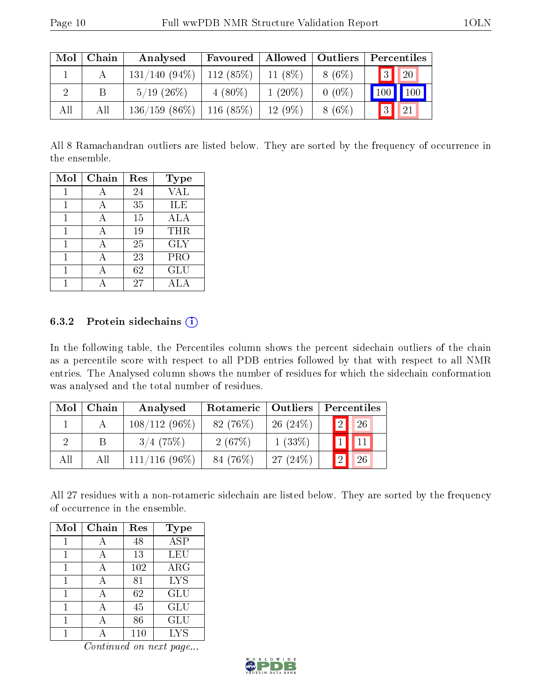| Mol | Chain | Analysed        | Favoured    | Allowed    | $\vert$ Outliers | Percentiles    |                     |
|-----|-------|-----------------|-------------|------------|------------------|----------------|---------------------|
|     |       | $131/140(94\%)$ | $112(85\%)$ | 11 $(8\%)$ | $8(6\%)$         | $\boxed{3}$    | $\overline{20}$     |
|     | Β     | $5/19$ $(26\%)$ | $4(80\%)$   | $1(20\%)$  | $0(0\%)$         | 100            | $\vert$ 100 $\vert$ |
| All | All   | $136/159$ (86%) | $116(85\%)$ | $12(9\%)$  | $8(6\%)$         | $\overline{3}$ | 21                  |

All 8 Ramachandran outliers are listed below. They are sorted by the frequency of occurrence in the ensemble.

| Mol | Chain | Res | <b>Type</b> |
|-----|-------|-----|-------------|
|     | А     | 24  | <b>VAL</b>  |
| 1   | А     | 35  | ILE         |
| 1   | А     | 15  | ALA         |
|     |       | 19  | THR         |
|     |       | 25  | <b>GLY</b>  |
|     | А     | 23  | PRO         |
|     |       | 62  | GLU         |
|     |       | 27  | A L A       |

#### 6.3.2 Protein sidechains  $(i)$

In the following table, the Percentiles column shows the percent sidechain outliers of the chain as a percentile score with respect to all PDB entries followed by that with respect to all NMR entries. The Analysed column shows the number of residues for which the sidechain conformation was analysed and the total number of residues.

| Mol | Chain | Rotameric   Outliers  <br>Analysed |            | Percentiles |  |                  |    |  |
|-----|-------|------------------------------------|------------|-------------|--|------------------|----|--|
|     |       | $108/112(96\%)$                    | $82(76\%)$ | $26(24\%)$  |  | $\mathbf{1}_{2}$ | 26 |  |
|     |       | $3/4$ (75%)                        | 2(67%)     | $1(33\%)$   |  |                  |    |  |
| All | All   | $111/116(96\%)$                    | 84 (76%)   | 27(24%)     |  | $\overline{2}$   | 26 |  |

All 27 residues with a non-rotameric sidechain are listed below. They are sorted by the frequency of occurrence in the ensemble.

| Mol | Chain | Res     | <b>Type</b> |
|-----|-------|---------|-------------|
| 1   |       | 48      | <b>ASP</b>  |
| 1   | А     | 13      | LEU         |
| 1   | А     | 102     | $\rm{ARG}$  |
|     |       | 81      | <b>LYS</b>  |
| 1   |       | 62      | <b>GLU</b>  |
|     |       | 45      | <b>GLU</b>  |
|     |       | 86      | GLU         |
|     |       | $110\,$ | <b>LYS</b>  |

Continued on next page...

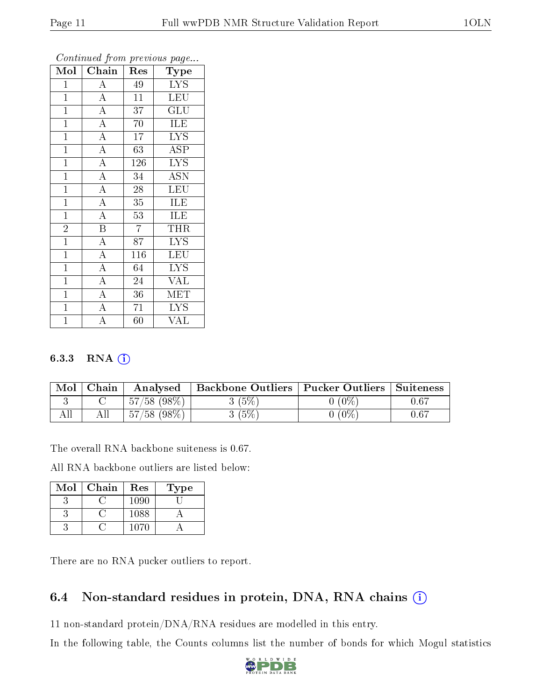| Mol            | Chain                   | Res             | Type                      |
|----------------|-------------------------|-----------------|---------------------------|
| $\mathbf{1}$   | $\overline{A}$          | 49              | <b>LYS</b>                |
| $\overline{1}$ | $\overline{A}$          | 11              | <b>LEU</b>                |
| $\overline{1}$ | $\overline{A}$          | 37              | $\overline{\mathrm{GLU}}$ |
| $\overline{1}$ | $\overline{A}$          | 70              | ILE                       |
| $\mathbf{1}$   | $\overline{A}$          | 17              | <b>LYS</b>                |
| $\mathbf{1}$   | $\overline{A}$          | 63              | ASP                       |
| $\mathbf{1}$   | $\overline{A}$          | 126             | <b>LYS</b>                |
| $\overline{1}$ | $\overline{A}$          | 34              | $\overline{\text{ASN}}$   |
| $\overline{1}$ | $\overline{A}$          | $\overline{28}$ | <b>LEU</b>                |
| $\mathbf{1}$   | $\overline{A}$          | $\overline{35}$ | <b>ILE</b>                |
| $\mathbf{1}$   | $\overline{A}$          | 53              | <b>ILE</b>                |
| $\overline{2}$ | $\overline{\mathbf{B}}$ | $\overline{7}$  | <b>THR</b>                |
| $\overline{1}$ | $\overline{A}$          | 87              | <b>LYS</b>                |
| $\mathbf{1}$   | $\overline{A}$          | 116             | <b>LEU</b>                |
| $\overline{1}$ | $\overline{A}$          | 64              | <b>LYS</b>                |
| $\overline{1}$ | $\overline{\rm A}$      | 24              | $\overline{\text{VAL}}$   |
| $\mathbf{1}$   | $\overline{A}$          | 36              | MET                       |
| $\mathbf{1}$   | $\overline{A}$          | 71              | <b>LYS</b>                |
| $\mathbf{1}$   | $\overline{\rm A}$      | 60              | <b>VAL</b>                |

Continued from previous page...

#### 6.3.3 RNA (i)

| Mol | ${\rm Chain}$ | Analysed       | Backbone Outliers   Pucker Outliers |                | $\mid$ Suiteness |
|-----|---------------|----------------|-------------------------------------|----------------|------------------|
|     |               | $57/58$ (98\%) | $(5\%)$                             | $^{\prime}0\%$ | 0.67             |
|     |               | $57/58$ (98\%) | $(5\%)$                             | $^{\prime}0\%$ | 0.67             |

The overall RNA backbone suiteness is 0.67.

All RNA backbone outliers are listed below:

| Mol | Chain | Res  | Type |
|-----|-------|------|------|
|     |       | 1090 |      |
|     |       | 1088 |      |
|     |       | 1070 |      |

There are no RNA pucker outliers to report.

### 6.4 Non-standard residues in protein, DNA, RNA chains (i)

11 non-standard protein/DNA/RNA residues are modelled in this entry.

In the following table, the Counts columns list the number of bonds for which Mogul statistics

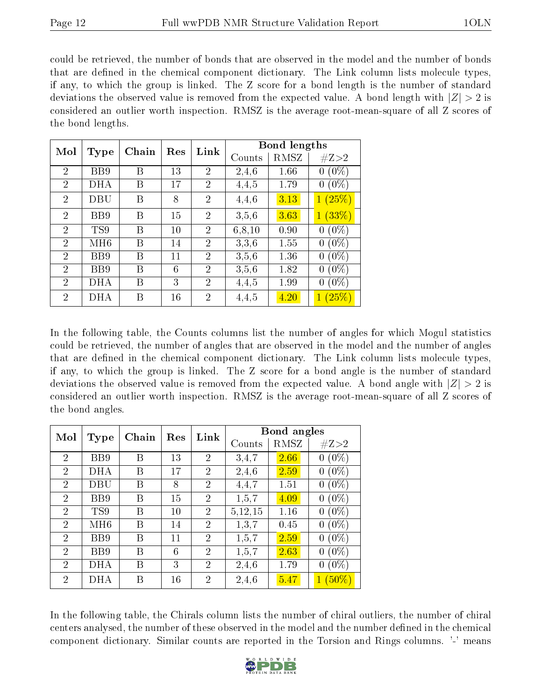could be retrieved, the number of bonds that are observed in the model and the number of bonds that are defined in the chemical component dictionary. The Link column lists molecule types, if any, to which the group is linked. The Z score for a bond length is the number of standard deviations the observed value is removed from the expected value. A bond length with  $|Z| > 2$  is considered an outlier worth inspection. RMSZ is the average root-mean-square of all Z scores of the bond lengths.

|                |            | Chain | Res | Link           |          | <b>Bond lengths</b> |                           |
|----------------|------------|-------|-----|----------------|----------|---------------------|---------------------------|
| Mol            | Type       |       |     |                | Counts   | RMSZ                | #Z>2                      |
| $\overline{2}$ | BB9        | В     | 13  | $\overline{2}$ | 2.4,6    | 1.66                | $(0\%)$<br>0              |
| $\overline{2}$ | DHA        | Β     | 17  | $\overline{2}$ | 4,4,5    | 1.79                | $(0\%)$<br>$\overline{0}$ |
| 2              | DBU        | Β     | 8   | 2              | 4,4,6    | 3.13                | (25%)<br>$\mathbf{1}$     |
| $\overline{2}$ | BB9        | Β     | 15  | $\overline{2}$ | 3,5,6    | 3.63                | (33%)<br>$\mathbf{1}$     |
| $\overline{2}$ | TS9        | В     | 10  | $\overline{2}$ | 6, 8, 10 | 0.90                | $(0\%)$<br>0              |
| $\overline{2}$ | MH6        | В     | 14  | $\overline{2}$ | 3,3,6    | 1.55                | $(0\%)$<br>0              |
| 2              | BB9        | В     | 11  | 2              | 3,5,6    | 1.36                | $(0\%)$<br>0              |
| 2              | BB9        | В     | 6   | 2              | 3,5,6    | 1.82                | $(0\%)$<br>0              |
| $\overline{2}$ | DHA        | В     | 3   | $\overline{2}$ | 4,4,5    | 1.99                | $(0\%)$<br>$\overline{0}$ |
| 2              | <b>DHA</b> | Β     | 16  | $\overline{2}$ | 4,4,5    | 4.20                | (25%)                     |

In the following table, the Counts columns list the number of angles for which Mogul statistics could be retrieved, the number of angles that are observed in the model and the number of angles that are defined in the chemical component dictionary. The Link column lists molecule types, if any, to which the group is linked. The Z score for a bond angle is the number of standard deviations the observed value is removed from the expected value. A bond angle with  $|Z| > 2$  is considered an outlier worth inspection. RMSZ is the average root-mean-square of all Z scores of the bond angles.

| Mol            |                 | Chain |    | Link<br>Res    | Bond angles |      |                             |
|----------------|-----------------|-------|----|----------------|-------------|------|-----------------------------|
|                | <b>Type</b>     |       |    |                | Counts      | RMSZ | #Z>2                        |
| $\overline{2}$ | BB9             | Β     | 13 | $\overline{2}$ | 3.4.7       | 2.66 | $(0\%)$<br>0                |
| $\overline{2}$ | DHA             | Β     | 17 | $\overline{2}$ | 2,4,6       | 2.59 | $(0\%)$<br>$\boldsymbol{0}$ |
| $\overline{2}$ | DBU             | Β     | 8  | $\overline{2}$ | 4,4,7       | 1.51 | $(0\%)$<br>$\boldsymbol{0}$ |
| $\overline{2}$ | B <sub>B9</sub> | Β     | 15 | 2              | 1,5,7       | 4.09 | $(0\%)$<br>0                |
| $\overline{2}$ | TS9             | В     | 10 | $\overline{2}$ | 5,12,15     | 1.16 | $(0\%)$<br>$\boldsymbol{0}$ |
| $\overline{2}$ | MH6             | Β     | 14 | $\overline{2}$ | 1,3,7       | 0.45 | $(0\%)$<br>$\boldsymbol{0}$ |
| $\overline{2}$ | BB9             | Β     | 11 | $\overline{2}$ | 1,5,7       | 2.59 | $(0\%)$<br>$\boldsymbol{0}$ |
| $\overline{2}$ | BB9             | В     | 6  | $\overline{2}$ | 1, 5, 7     | 2.63 | $(0\%)$<br>$\overline{0}$   |
| $\overline{2}$ | DHA             | В     | 3  | $\overline{2}$ | 2,4,6       | 1.79 | $(0\%)$<br>0                |
| $\overline{2}$ | <b>DHA</b>      | Β     | 16 | $\overline{2}$ | 2,4,6       | 5.47 | $1(50\%)$                   |

In the following table, the Chirals column lists the number of chiral outliers, the number of chiral centers analysed, the number of these observed in the model and the number defined in the chemical component dictionary. Similar counts are reported in the Torsion and Rings columns. '-' means

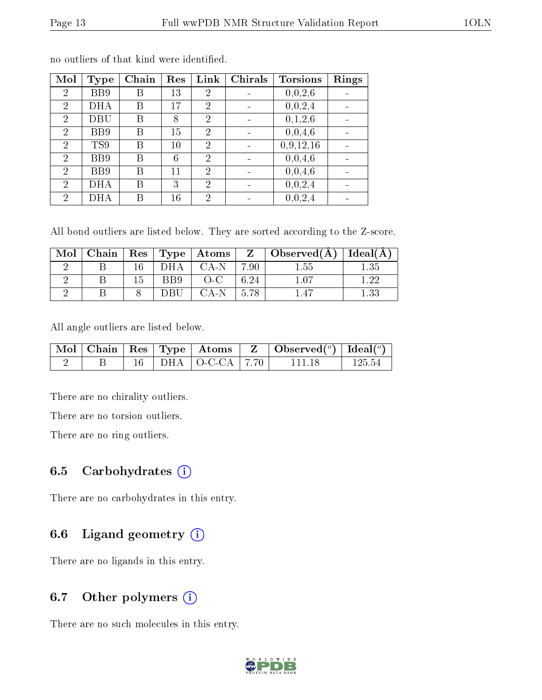| Mol            | <b>Type</b>    | Chain | Res | Link           | <b>Chirals</b> | <b>Torsions</b> | Rings |
|----------------|----------------|-------|-----|----------------|----------------|-----------------|-------|
| $\overline{2}$ | BB9            | В     | 13  | 2              |                | 0,0,2,6         |       |
| $\overline{2}$ | <b>DHA</b>     | В     | 17  | 2              |                | 0,0,2,4         |       |
| $\overline{2}$ | DBU            | В     | 8   | $\overline{2}$ |                | 0,1,2,6         |       |
| $\overline{2}$ | B <sub>B</sub> | В     | 15  | $\overline{2}$ |                | 0,0,4,6         |       |
| $\overline{2}$ | TS9            | В     | 10  | $\overline{2}$ |                | 0,9,12,16       |       |
| $\overline{2}$ | B <sub>B</sub> | В     | 6   | $\overline{2}$ |                | 0,0,4,6         |       |
| $\overline{2}$ | BB9            | Β     | 11  | $\overline{2}$ |                | 0,0,4,6         |       |
| $\overline{2}$ | <b>DHA</b>     | В     | 3   | $\overline{2}$ |                | 0,0,2,4         |       |
| $\overline{2}$ | DHA            |       | 16  | 2              |                | 0,0,2,4         |       |

no outliers of that kind were identified.

All bond outliers are listed below. They are sorted according to the Z-score.

| Mol | Chain |      |     | $\mid$ Res $\mid$ Type $\mid$ Atoms |      | $Z \mid$ Observed( $A$ ) | Ideal(A) |
|-----|-------|------|-----|-------------------------------------|------|--------------------------|----------|
|     |       |      |     | CA-N                                | 7 QN | -55                      |          |
|     |       | רי ו | BB9 | ( )_( )                             | 6.24 |                          |          |
|     |       |      | ותו |                                     | .78  |                          |          |

All angle outliers are listed below.

|  |  |                            | $\mid$ Mol $\mid$ Chain $\mid$ Res $\mid$ Type $\mid$ Atoms $\mid$ Z $\mid$ Observed( <sup>o</sup> ) $\mid$ Ideal( <sup>o</sup> ) |         |
|--|--|----------------------------|-----------------------------------------------------------------------------------------------------------------------------------|---------|
|  |  | $16$   DHA   O-C-CA   7.70 | 111 18                                                                                                                            | -125.54 |

There are no chirality outliers.

There are no torsion outliers.

There are no ring outliers.

### 6.5 Carbohydrates  $(i)$

There are no carbohydrates in this entry.

### 6.6 Ligand geometry  $(i)$

There are no ligands in this entry.

### 6.7 [O](https://www.wwpdb.org/validation/2017/NMRValidationReportHelp#nonstandard_residues_and_ligands)ther polymers  $(i)$

There are no such molecules in this entry.

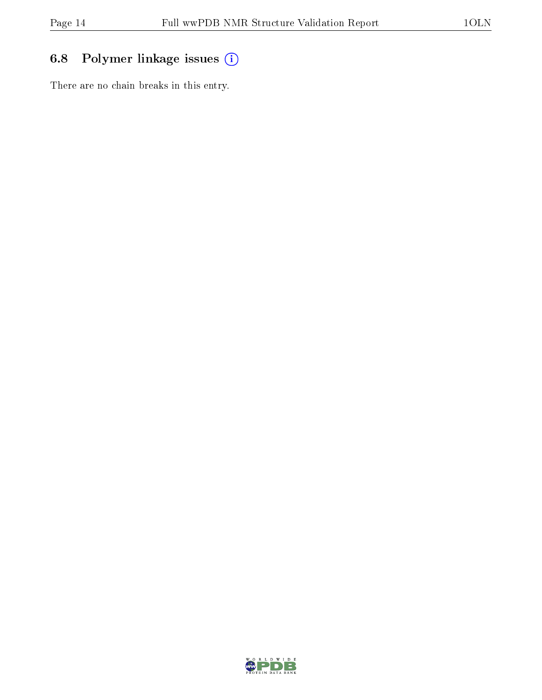## 6.8 Polymer linkage issues (i)

There are no chain breaks in this entry.